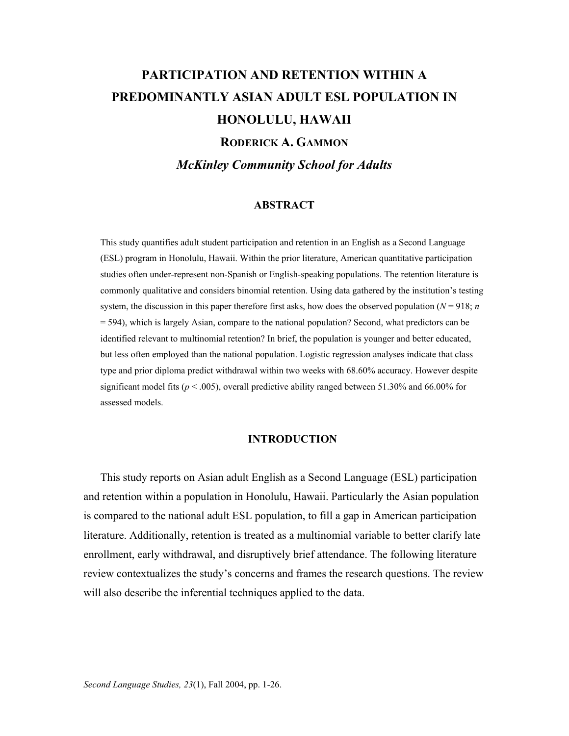# **PARTICIPATION AND RETENTION WITHIN A PREDOMINANTLY ASIAN ADULT ESL POPULATION IN HONOLULU, HAWAII RODERICK A. GAMMON** *McKinley Community School for Adults*

## **ABSTRACT**

This study quantifies adult student participation and retention in an English as a Second Language (ESL) program in Honolulu, Hawaii. Within the prior literature, American quantitative participation studies often under-represent non-Spanish or English-speaking populations. The retention literature is commonly qualitative and considers binomial retention. Using data gathered by the institution's testing system, the discussion in this paper therefore first asks, how does the observed population ( $N = 918$ ; *n* = 594), which is largely Asian, compare to the national population? Second, what predictors can be identified relevant to multinomial retention? In brief, the population is younger and better educated, but less often employed than the national population. Logistic regression analyses indicate that class type and prior diploma predict withdrawal within two weeks with 68.60% accuracy. However despite significant model fits ( $p < .005$ ), overall predictive ability ranged between 51.30% and 66.00% for assessed models.

## **INTRODUCTION**

This study reports on Asian adult English as a Second Language (ESL) participation and retention within a population in Honolulu, Hawaii. Particularly the Asian population is compared to the national adult ESL population, to fill a gap in American participation literature. Additionally, retention is treated as a multinomial variable to better clarify late enrollment, early withdrawal, and disruptively brief attendance. The following literature review contextualizes the study's concerns and frames the research questions. The review will also describe the inferential techniques applied to the data.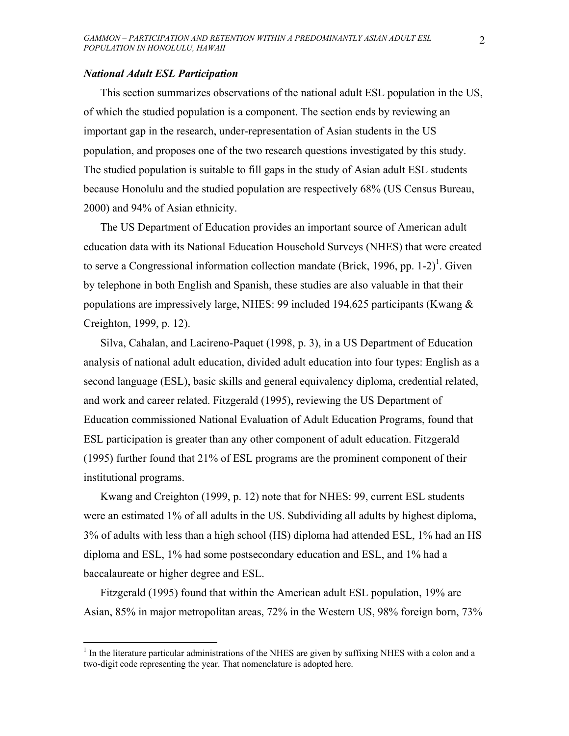## *National Adult ESL Participation*

 $\overline{a}$ 

This section summarizes observations of the national adult ESL population in the US, of which the studied population is a component. The section ends by reviewing an important gap in the research, under-representation of Asian students in the US population, and proposes one of the two research questions investigated by this study. The studied population is suitable to fill gaps in the study of Asian adult ESL students because Honolulu and the studied population are respectively 68% (US Census Bureau, 2000) and 94% of Asian ethnicity.

The US Department of Education provides an important source of American adult education data with its National Education Household Surveys (NHES) that were created to serve a Congressional information collection mandate (Brick, 1996, pp. 1-2)<sup>1</sup>. Given by telephone in both English and Spanish, these studies are also valuable in that their populations are impressively large, NHES: 99 included 194,625 participants (Kwang & Creighton, 1999, p. 12).

Silva, Cahalan, and Lacireno-Paquet (1998, p. 3), in a US Department of Education analysis of national adult education, divided adult education into four types: English as a second language (ESL), basic skills and general equivalency diploma, credential related, and work and career related. Fitzgerald (1995), reviewing the US Department of Education commissioned National Evaluation of Adult Education Programs, found that ESL participation is greater than any other component of adult education. Fitzgerald (1995) further found that 21% of ESL programs are the prominent component of their institutional programs.

Kwang and Creighton (1999, p. 12) note that for NHES: 99, current ESL students were an estimated 1% of all adults in the US. Subdividing all adults by highest diploma, 3% of adults with less than a high school (HS) diploma had attended ESL, 1% had an HS diploma and ESL, 1% had some postsecondary education and ESL, and 1% had a baccalaureate or higher degree and ESL.

Fitzgerald (1995) found that within the American adult ESL population, 19% are Asian, 85% in major metropolitan areas, 72% in the Western US, 98% foreign born, 73%

 $1$  In the literature particular administrations of the NHES are given by suffixing NHES with a colon and a two-digit code representing the year. That nomenclature is adopted here.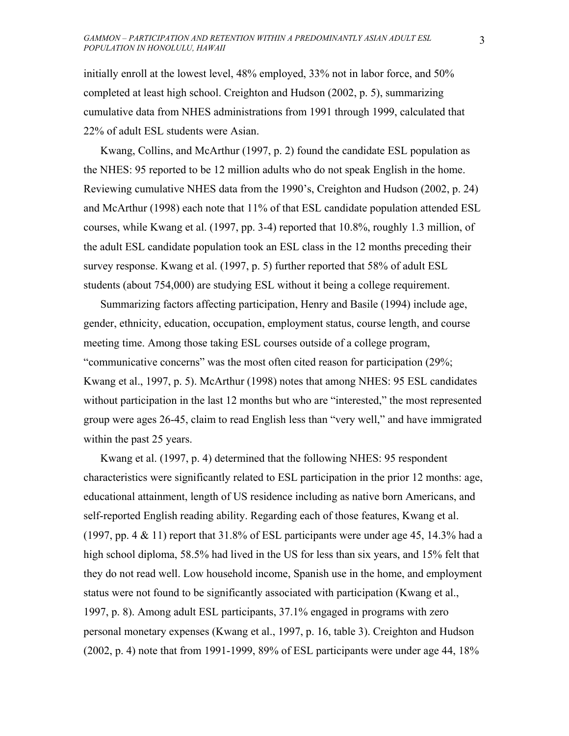initially enroll at the lowest level, 48% employed, 33% not in labor force, and 50% completed at least high school. Creighton and Hudson (2002, p. 5), summarizing cumulative data from NHES administrations from 1991 through 1999, calculated that 22% of adult ESL students were Asian.

Kwang, Collins, and McArthur (1997, p. 2) found the candidate ESL population as the NHES: 95 reported to be 12 million adults who do not speak English in the home. Reviewing cumulative NHES data from the 1990's, Creighton and Hudson (2002, p. 24) and McArthur (1998) each note that 11% of that ESL candidate population attended ESL courses, while Kwang et al. (1997, pp. 3-4) reported that 10.8%, roughly 1.3 million, of the adult ESL candidate population took an ESL class in the 12 months preceding their survey response. Kwang et al. (1997, p. 5) further reported that 58% of adult ESL students (about 754,000) are studying ESL without it being a college requirement.

Summarizing factors affecting participation, Henry and Basile (1994) include age, gender, ethnicity, education, occupation, employment status, course length, and course meeting time. Among those taking ESL courses outside of a college program, "communicative concerns" was the most often cited reason for participation (29%; Kwang et al., 1997, p. 5). McArthur (1998) notes that among NHES: 95 ESL candidates without participation in the last 12 months but who are "interested," the most represented group were ages 26-45, claim to read English less than "very well," and have immigrated within the past 25 years.

Kwang et al. (1997, p. 4) determined that the following NHES: 95 respondent characteristics were significantly related to ESL participation in the prior 12 months: age, educational attainment, length of US residence including as native born Americans, and self-reported English reading ability. Regarding each of those features, Kwang et al. (1997, pp. 4  $&$  11) report that 31.8% of ESL participants were under age 45, 14.3% had a high school diploma, 58.5% had lived in the US for less than six years, and 15% felt that they do not read well. Low household income, Spanish use in the home, and employment status were not found to be significantly associated with participation (Kwang et al., 1997, p. 8). Among adult ESL participants, 37.1% engaged in programs with zero personal monetary expenses (Kwang et al., 1997, p. 16, table 3). Creighton and Hudson (2002, p. 4) note that from 1991-1999, 89% of ESL participants were under age 44, 18%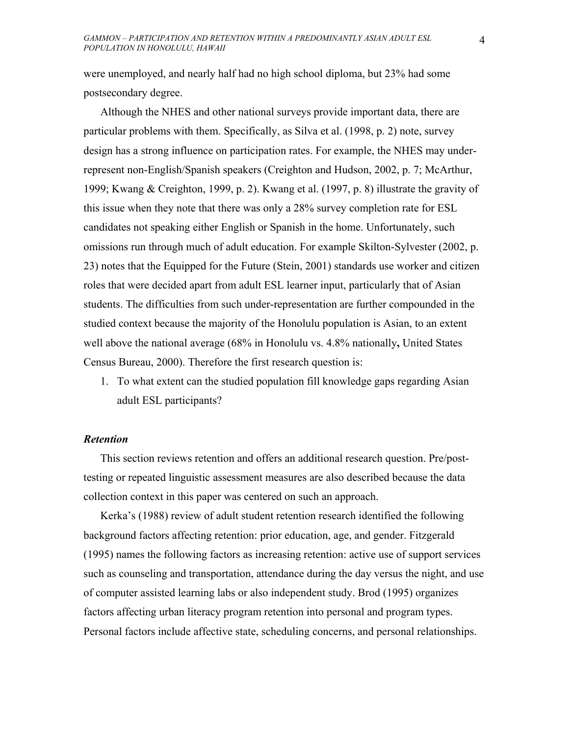were unemployed, and nearly half had no high school diploma, but 23% had some postsecondary degree.

Although the NHES and other national surveys provide important data, there are particular problems with them. Specifically, as Silva et al. (1998, p. 2) note, survey design has a strong influence on participation rates. For example, the NHES may underrepresent non-English/Spanish speakers (Creighton and Hudson, 2002, p. 7; McArthur, 1999; Kwang & Creighton, 1999, p. 2). Kwang et al. (1997, p. 8) illustrate the gravity of this issue when they note that there was only a 28% survey completion rate for ESL candidates not speaking either English or Spanish in the home. Unfortunately, such omissions run through much of adult education. For example Skilton-Sylvester (2002, p. 23) notes that the Equipped for the Future (Stein, 2001) standards use worker and citizen roles that were decided apart from adult ESL learner input, particularly that of Asian students. The difficulties from such under-representation are further compounded in the studied context because the majority of the Honolulu population is Asian, to an extent well above the national average (68% in Honolulu vs. 4.8% nationally**,** United States Census Bureau, 2000). Therefore the first research question is:

1. To what extent can the studied population fill knowledge gaps regarding Asian adult ESL participants?

## *Retention*

This section reviews retention and offers an additional research question. Pre/posttesting or repeated linguistic assessment measures are also described because the data collection context in this paper was centered on such an approach.

Kerka's (1988) review of adult student retention research identified the following background factors affecting retention: prior education, age, and gender. Fitzgerald (1995) names the following factors as increasing retention: active use of support services such as counseling and transportation, attendance during the day versus the night, and use of computer assisted learning labs or also independent study. Brod (1995) organizes factors affecting urban literacy program retention into personal and program types. Personal factors include affective state, scheduling concerns, and personal relationships.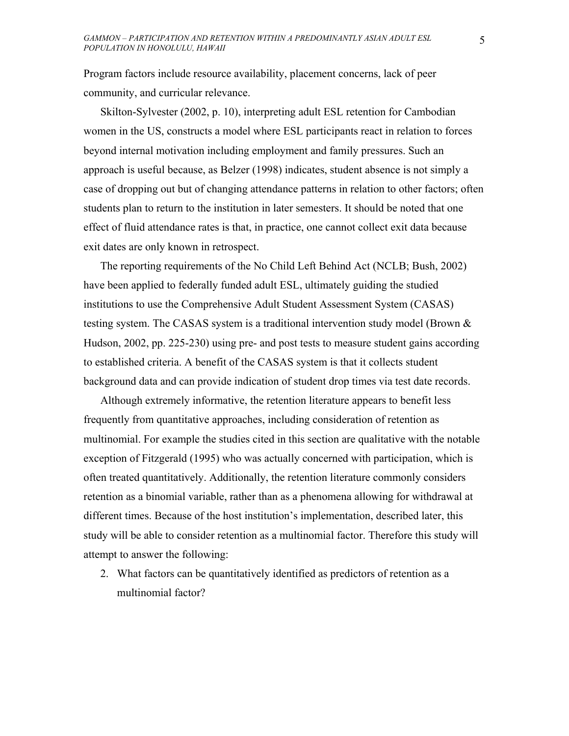Program factors include resource availability, placement concerns, lack of peer community, and curricular relevance.

Skilton-Sylvester (2002, p. 10), interpreting adult ESL retention for Cambodian women in the US, constructs a model where ESL participants react in relation to forces beyond internal motivation including employment and family pressures. Such an approach is useful because, as Belzer (1998) indicates, student absence is not simply a case of dropping out but of changing attendance patterns in relation to other factors; often students plan to return to the institution in later semesters. It should be noted that one effect of fluid attendance rates is that, in practice, one cannot collect exit data because exit dates are only known in retrospect.

The reporting requirements of the No Child Left Behind Act (NCLB; Bush, 2002) have been applied to federally funded adult ESL, ultimately guiding the studied institutions to use the Comprehensive Adult Student Assessment System (CASAS) testing system. The CASAS system is a traditional intervention study model (Brown  $\&$ Hudson, 2002, pp. 225-230) using pre- and post tests to measure student gains according to established criteria. A benefit of the CASAS system is that it collects student background data and can provide indication of student drop times via test date records.

Although extremely informative, the retention literature appears to benefit less frequently from quantitative approaches, including consideration of retention as multinomial. For example the studies cited in this section are qualitative with the notable exception of Fitzgerald (1995) who was actually concerned with participation, which is often treated quantitatively. Additionally, the retention literature commonly considers retention as a binomial variable, rather than as a phenomena allowing for withdrawal at different times. Because of the host institution's implementation, described later, this study will be able to consider retention as a multinomial factor. Therefore this study will attempt to answer the following:

2. What factors can be quantitatively identified as predictors of retention as a multinomial factor?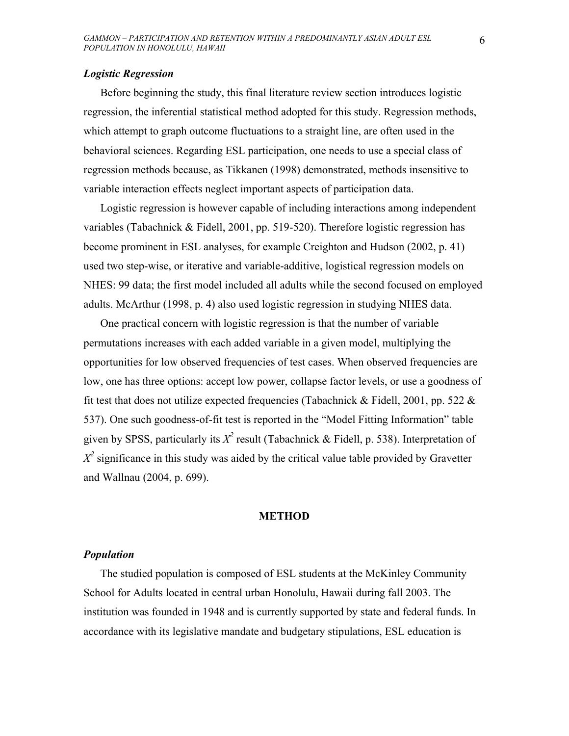## *Logistic Regression*

Before beginning the study, this final literature review section introduces logistic regression, the inferential statistical method adopted for this study. Regression methods, which attempt to graph outcome fluctuations to a straight line, are often used in the behavioral sciences. Regarding ESL participation, one needs to use a special class of regression methods because, as Tikkanen (1998) demonstrated, methods insensitive to variable interaction effects neglect important aspects of participation data.

Logistic regression is however capable of including interactions among independent variables (Tabachnick & Fidell, 2001, pp. 519-520). Therefore logistic regression has become prominent in ESL analyses, for example Creighton and Hudson (2002, p. 41) used two step-wise, or iterative and variable-additive, logistical regression models on NHES: 99 data; the first model included all adults while the second focused on employed adults. McArthur (1998, p. 4) also used logistic regression in studying NHES data.

One practical concern with logistic regression is that the number of variable permutations increases with each added variable in a given model, multiplying the opportunities for low observed frequencies of test cases. When observed frequencies are low, one has three options: accept low power, collapse factor levels, or use a goodness of fit test that does not utilize expected frequencies (Tabachnick & Fidell, 2001, pp. 522  $\&$ 537). One such goodness-of-fit test is reported in the "Model Fitting Information" table given by SPSS, particularly its  $X^2$  result (Tabachnick & Fidell, p. 538). Interpretation of  $X^2$  significance in this study was aided by the critical value table provided by Gravetter and Wallnau (2004, p. 699).

## **METHOD**

## *Population*

The studied population is composed of ESL students at the McKinley Community School for Adults located in central urban Honolulu, Hawaii during fall 2003. The institution was founded in 1948 and is currently supported by state and federal funds. In accordance with its legislative mandate and budgetary stipulations, ESL education is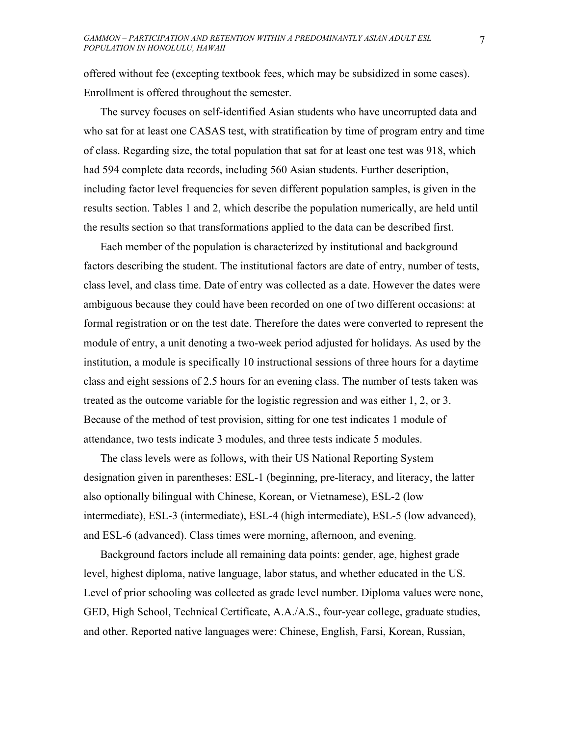offered without fee (excepting textbook fees, which may be subsidized in some cases). Enrollment is offered throughout the semester.

The survey focuses on self-identified Asian students who have uncorrupted data and who sat for at least one CASAS test, with stratification by time of program entry and time of class. Regarding size, the total population that sat for at least one test was 918, which had 594 complete data records, including 560 Asian students. Further description, including factor level frequencies for seven different population samples, is given in the results section. Tables 1 and 2, which describe the population numerically, are held until the results section so that transformations applied to the data can be described first.

Each member of the population is characterized by institutional and background factors describing the student. The institutional factors are date of entry, number of tests, class level, and class time. Date of entry was collected as a date. However the dates were ambiguous because they could have been recorded on one of two different occasions: at formal registration or on the test date. Therefore the dates were converted to represent the module of entry, a unit denoting a two-week period adjusted for holidays. As used by the institution, a module is specifically 10 instructional sessions of three hours for a daytime class and eight sessions of 2.5 hours for an evening class. The number of tests taken was treated as the outcome variable for the logistic regression and was either 1, 2, or 3. Because of the method of test provision, sitting for one test indicates 1 module of attendance, two tests indicate 3 modules, and three tests indicate 5 modules.

The class levels were as follows, with their US National Reporting System designation given in parentheses: ESL-1 (beginning, pre-literacy, and literacy, the latter also optionally bilingual with Chinese, Korean, or Vietnamese), ESL-2 (low intermediate), ESL-3 (intermediate), ESL-4 (high intermediate), ESL-5 (low advanced), and ESL-6 (advanced). Class times were morning, afternoon, and evening.

Background factors include all remaining data points: gender, age, highest grade level, highest diploma, native language, labor status, and whether educated in the US. Level of prior schooling was collected as grade level number. Diploma values were none, GED, High School, Technical Certificate, A.A./A.S., four-year college, graduate studies, and other. Reported native languages were: Chinese, English, Farsi, Korean, Russian,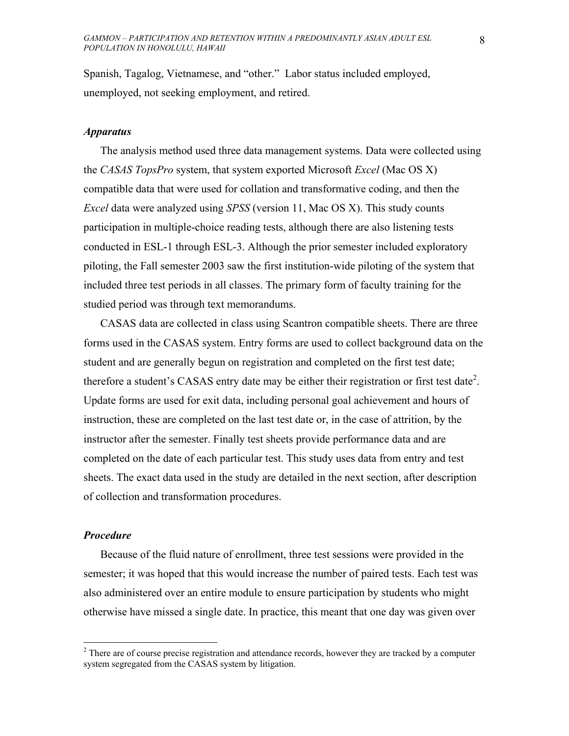Spanish, Tagalog, Vietnamese, and "other." Labor status included employed, unemployed, not seeking employment, and retired.

## *Apparatus*

The analysis method used three data management systems. Data were collected using the *CASAS TopsPro* system, that system exported Microsoft *Excel* (Mac OS X) compatible data that were used for collation and transformative coding, and then the *Excel* data were analyzed using *SPSS* (version 11, Mac OS X). This study counts participation in multiple-choice reading tests, although there are also listening tests conducted in ESL-1 through ESL-3. Although the prior semester included exploratory piloting, the Fall semester 2003 saw the first institution-wide piloting of the system that included three test periods in all classes. The primary form of faculty training for the studied period was through text memorandums.

CASAS data are collected in class using Scantron compatible sheets. There are three forms used in the CASAS system. Entry forms are used to collect background data on the student and are generally begun on registration and completed on the first test date; therefore a student's CASAS entry date may be either their registration or first test date<sup>2</sup>. Update forms are used for exit data, including personal goal achievement and hours of instruction, these are completed on the last test date or, in the case of attrition, by the instructor after the semester. Finally test sheets provide performance data and are completed on the date of each particular test. This study uses data from entry and test sheets. The exact data used in the study are detailed in the next section, after description of collection and transformation procedures.

## *Procedure*

1

Because of the fluid nature of enrollment, three test sessions were provided in the semester; it was hoped that this would increase the number of paired tests. Each test was also administered over an entire module to ensure participation by students who might otherwise have missed a single date. In practice, this meant that one day was given over

 $2<sup>2</sup>$  There are of course precise registration and attendance records, however they are tracked by a computer system segregated from the CASAS system by litigation.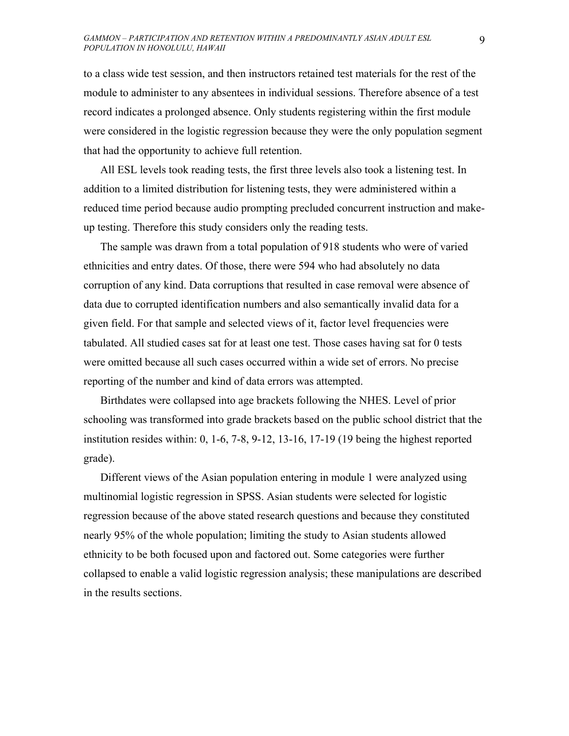to a class wide test session, and then instructors retained test materials for the rest of the module to administer to any absentees in individual sessions. Therefore absence of a test record indicates a prolonged absence. Only students registering within the first module were considered in the logistic regression because they were the only population segment that had the opportunity to achieve full retention.

All ESL levels took reading tests, the first three levels also took a listening test. In addition to a limited distribution for listening tests, they were administered within a reduced time period because audio prompting precluded concurrent instruction and makeup testing. Therefore this study considers only the reading tests.

The sample was drawn from a total population of 918 students who were of varied ethnicities and entry dates. Of those, there were 594 who had absolutely no data corruption of any kind. Data corruptions that resulted in case removal were absence of data due to corrupted identification numbers and also semantically invalid data for a given field. For that sample and selected views of it, factor level frequencies were tabulated. All studied cases sat for at least one test. Those cases having sat for 0 tests were omitted because all such cases occurred within a wide set of errors. No precise reporting of the number and kind of data errors was attempted.

Birthdates were collapsed into age brackets following the NHES. Level of prior schooling was transformed into grade brackets based on the public school district that the institution resides within: 0, 1-6, 7-8, 9-12, 13-16, 17-19 (19 being the highest reported grade).

Different views of the Asian population entering in module 1 were analyzed using multinomial logistic regression in SPSS. Asian students were selected for logistic regression because of the above stated research questions and because they constituted nearly 95% of the whole population; limiting the study to Asian students allowed ethnicity to be both focused upon and factored out. Some categories were further collapsed to enable a valid logistic regression analysis; these manipulations are described in the results sections.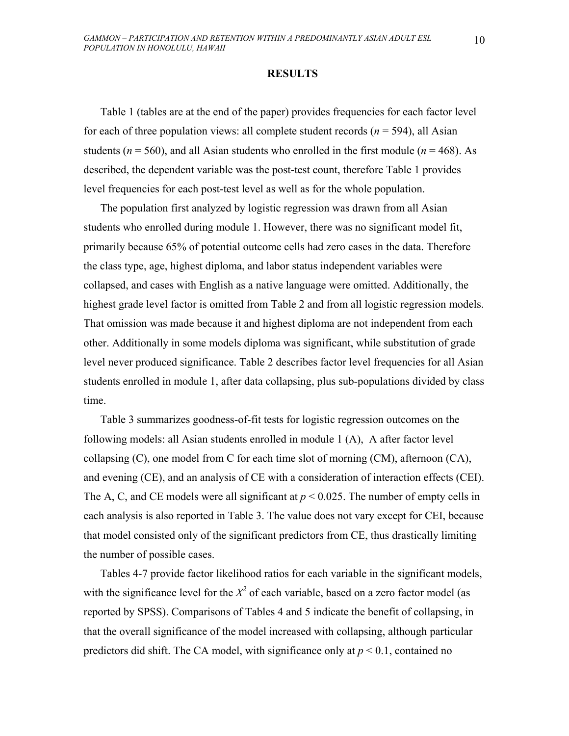## **RESULTS**

Table 1 (tables are at the end of the paper) provides frequencies for each factor level for each of three population views: all complete student records  $(n = 594)$ , all Asian students ( $n = 560$ ), and all Asian students who enrolled in the first module ( $n = 468$ ). As described, the dependent variable was the post-test count, therefore Table 1 provides level frequencies for each post-test level as well as for the whole population.

The population first analyzed by logistic regression was drawn from all Asian students who enrolled during module 1. However, there was no significant model fit, primarily because 65% of potential outcome cells had zero cases in the data. Therefore the class type, age, highest diploma, and labor status independent variables were collapsed, and cases with English as a native language were omitted. Additionally, the highest grade level factor is omitted from Table 2 and from all logistic regression models. That omission was made because it and highest diploma are not independent from each other. Additionally in some models diploma was significant, while substitution of grade level never produced significance. Table 2 describes factor level frequencies for all Asian students enrolled in module 1, after data collapsing, plus sub-populations divided by class time.

Table 3 summarizes goodness-of-fit tests for logistic regression outcomes on the following models: all Asian students enrolled in module 1 (A), A after factor level collapsing (C), one model from C for each time slot of morning (CM), afternoon (CA), and evening (CE), and an analysis of CE with a consideration of interaction effects (CEI). The A, C, and CE models were all significant at  $p < 0.025$ . The number of empty cells in each analysis is also reported in Table 3. The value does not vary except for CEI, because that model consisted only of the significant predictors from CE, thus drastically limiting the number of possible cases.

Tables 4-7 provide factor likelihood ratios for each variable in the significant models, with the significance level for the  $X^2$  of each variable, based on a zero factor model (as reported by SPSS). Comparisons of Tables 4 and 5 indicate the benefit of collapsing, in that the overall significance of the model increased with collapsing, although particular predictors did shift. The CA model, with significance only at  $p < 0.1$ , contained no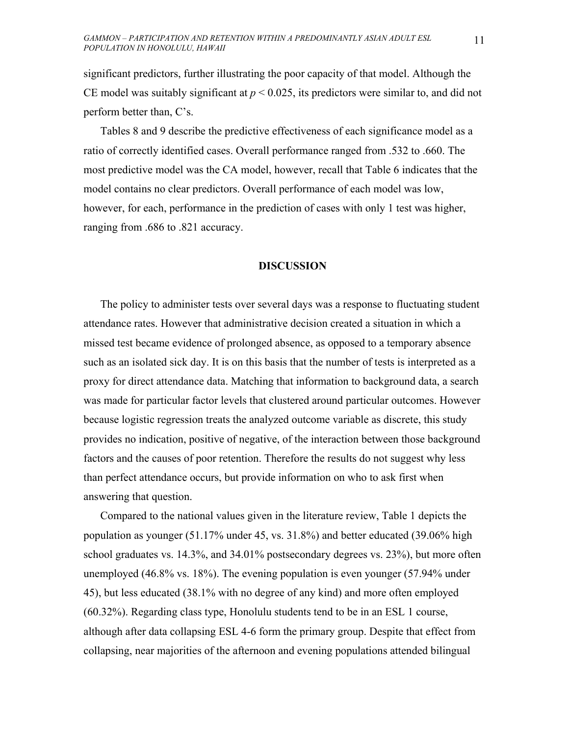significant predictors, further illustrating the poor capacity of that model. Although the CE model was suitably significant at  $p < 0.025$ , its predictors were similar to, and did not perform better than, C's.

Tables 8 and 9 describe the predictive effectiveness of each significance model as a ratio of correctly identified cases. Overall performance ranged from .532 to .660. The most predictive model was the CA model, however, recall that Table 6 indicates that the model contains no clear predictors. Overall performance of each model was low, however, for each, performance in the prediction of cases with only 1 test was higher, ranging from .686 to .821 accuracy.

## **DISCUSSION**

The policy to administer tests over several days was a response to fluctuating student attendance rates. However that administrative decision created a situation in which a missed test became evidence of prolonged absence, as opposed to a temporary absence such as an isolated sick day. It is on this basis that the number of tests is interpreted as a proxy for direct attendance data. Matching that information to background data, a search was made for particular factor levels that clustered around particular outcomes. However because logistic regression treats the analyzed outcome variable as discrete, this study provides no indication, positive of negative, of the interaction between those background factors and the causes of poor retention. Therefore the results do not suggest why less than perfect attendance occurs, but provide information on who to ask first when answering that question.

Compared to the national values given in the literature review, Table 1 depicts the population as younger (51.17% under 45, vs. 31.8%) and better educated (39.06% high school graduates vs. 14.3%, and 34.01% postsecondary degrees vs. 23%), but more often unemployed (46.8% vs. 18%). The evening population is even younger (57.94% under 45), but less educated (38.1% with no degree of any kind) and more often employed (60.32%). Regarding class type, Honolulu students tend to be in an ESL 1 course, although after data collapsing ESL 4-6 form the primary group. Despite that effect from collapsing, near majorities of the afternoon and evening populations attended bilingual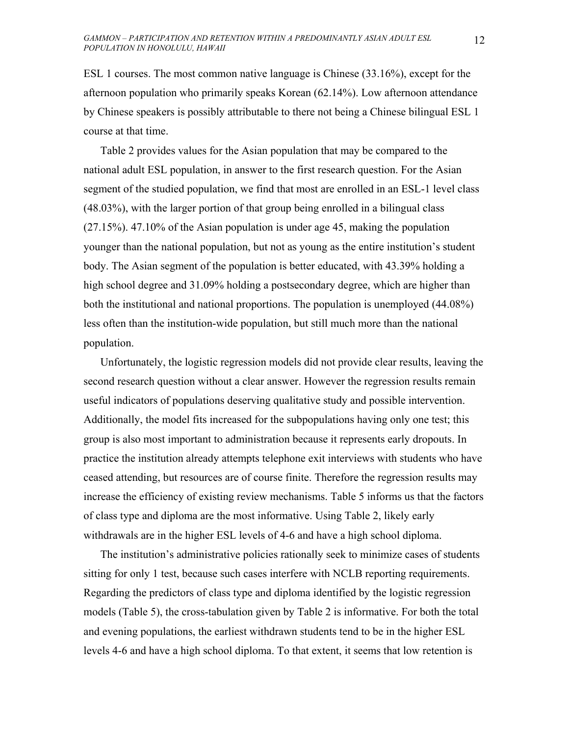ESL 1 courses. The most common native language is Chinese (33.16%), except for the afternoon population who primarily speaks Korean (62.14%). Low afternoon attendance by Chinese speakers is possibly attributable to there not being a Chinese bilingual ESL 1 course at that time.

Table 2 provides values for the Asian population that may be compared to the national adult ESL population, in answer to the first research question. For the Asian segment of the studied population, we find that most are enrolled in an ESL-1 level class (48.03%), with the larger portion of that group being enrolled in a bilingual class (27.15%). 47.10% of the Asian population is under age 45, making the population younger than the national population, but not as young as the entire institution's student body. The Asian segment of the population is better educated, with 43.39% holding a high school degree and 31.09% holding a postsecondary degree, which are higher than both the institutional and national proportions. The population is unemployed (44.08%) less often than the institution-wide population, but still much more than the national population.

Unfortunately, the logistic regression models did not provide clear results, leaving the second research question without a clear answer. However the regression results remain useful indicators of populations deserving qualitative study and possible intervention. Additionally, the model fits increased for the subpopulations having only one test; this group is also most important to administration because it represents early dropouts. In practice the institution already attempts telephone exit interviews with students who have ceased attending, but resources are of course finite. Therefore the regression results may increase the efficiency of existing review mechanisms. Table 5 informs us that the factors of class type and diploma are the most informative. Using Table 2, likely early withdrawals are in the higher ESL levels of 4-6 and have a high school diploma.

The institution's administrative policies rationally seek to minimize cases of students sitting for only 1 test, because such cases interfere with NCLB reporting requirements. Regarding the predictors of class type and diploma identified by the logistic regression models (Table 5), the cross-tabulation given by Table 2 is informative. For both the total and evening populations, the earliest withdrawn students tend to be in the higher ESL levels 4-6 and have a high school diploma. To that extent, it seems that low retention is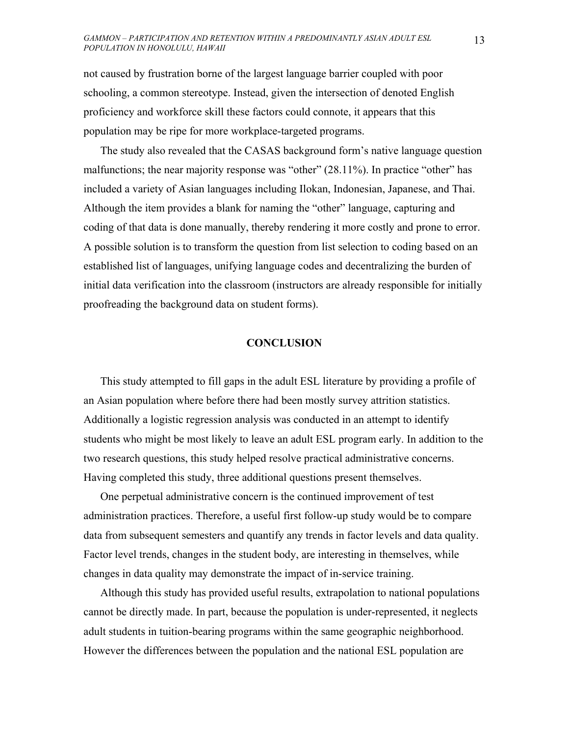not caused by frustration borne of the largest language barrier coupled with poor schooling, a common stereotype. Instead, given the intersection of denoted English proficiency and workforce skill these factors could connote, it appears that this population may be ripe for more workplace-targeted programs.

The study also revealed that the CASAS background form's native language question malfunctions; the near majority response was "other" (28.11%). In practice "other" has included a variety of Asian languages including Ilokan, Indonesian, Japanese, and Thai. Although the item provides a blank for naming the "other" language, capturing and coding of that data is done manually, thereby rendering it more costly and prone to error. A possible solution is to transform the question from list selection to coding based on an established list of languages, unifying language codes and decentralizing the burden of initial data verification into the classroom (instructors are already responsible for initially proofreading the background data on student forms).

# **CONCLUSION**

This study attempted to fill gaps in the adult ESL literature by providing a profile of an Asian population where before there had been mostly survey attrition statistics. Additionally a logistic regression analysis was conducted in an attempt to identify students who might be most likely to leave an adult ESL program early. In addition to the two research questions, this study helped resolve practical administrative concerns. Having completed this study, three additional questions present themselves.

One perpetual administrative concern is the continued improvement of test administration practices. Therefore, a useful first follow-up study would be to compare data from subsequent semesters and quantify any trends in factor levels and data quality. Factor level trends, changes in the student body, are interesting in themselves, while changes in data quality may demonstrate the impact of in-service training.

Although this study has provided useful results, extrapolation to national populations cannot be directly made. In part, because the population is under-represented, it neglects adult students in tuition-bearing programs within the same geographic neighborhood. However the differences between the population and the national ESL population are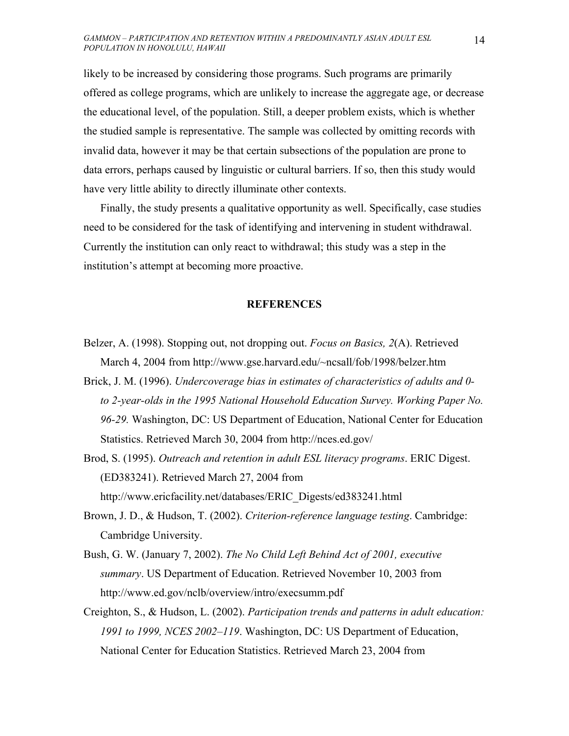likely to be increased by considering those programs. Such programs are primarily offered as college programs, which are unlikely to increase the aggregate age, or decrease the educational level, of the population. Still, a deeper problem exists, which is whether the studied sample is representative. The sample was collected by omitting records with invalid data, however it may be that certain subsections of the population are prone to data errors, perhaps caused by linguistic or cultural barriers. If so, then this study would have very little ability to directly illuminate other contexts.

Finally, the study presents a qualitative opportunity as well. Specifically, case studies need to be considered for the task of identifying and intervening in student withdrawal. Currently the institution can only react to withdrawal; this study was a step in the institution's attempt at becoming more proactive.

### **REFERENCES**

- Belzer, A. (1998). Stopping out, not dropping out. *Focus on Basics, 2*(A). Retrieved March 4, 2004 from http://www.gse.harvard.edu/~ncsall/fob/1998/belzer.htm
- Brick, J. M. (1996). *Undercoverage bias in estimates of characteristics of adults and 0 to 2-year-olds in the 1995 National Household Education Survey. Working Paper No. 96-29.* Washington, DC: US Department of Education, National Center for Education Statistics. Retrieved March 30, 2004 from http://nces.ed.gov/
- Brod, S. (1995). *Outreach and retention in adult ESL literacy programs*. ERIC Digest. (ED383241). Retrieved March 27, 2004 from http://www.ericfacility.net/databases/ERIC\_Digests/ed383241.html
- Brown, J. D., & Hudson, T. (2002). *Criterion-reference language testing*. Cambridge: Cambridge University.
- Bush, G. W. (January 7, 2002). *The No Child Left Behind Act of 2001, executive summary*. US Department of Education. Retrieved November 10, 2003 from http://www.ed.gov/nclb/overview/intro/execsumm.pdf
- Creighton, S., & Hudson, L. (2002). *Participation trends and patterns in adult education: 1991 to 1999, NCES 2002–119*. Washington, DC: US Department of Education, National Center for Education Statistics. Retrieved March 23, 2004 from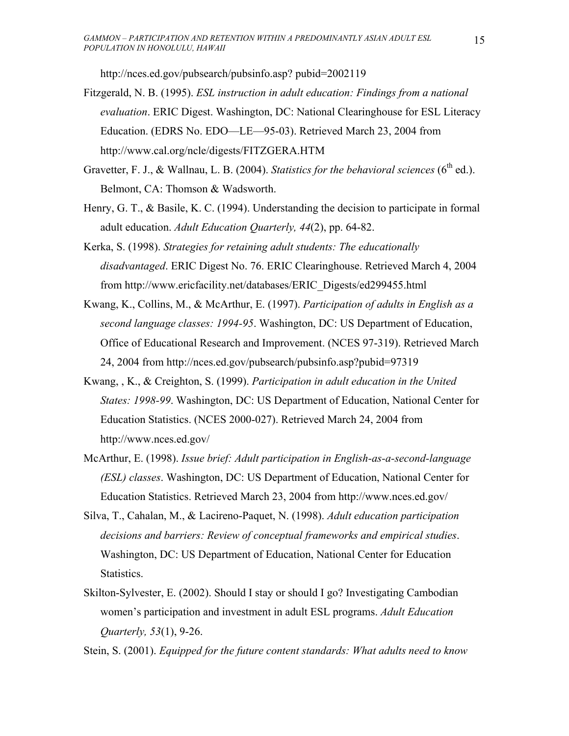http://nces.ed.gov/pubsearch/pubsinfo.asp? pubid=2002119

- Fitzgerald, N. B. (1995). *ESL instruction in adult education: Findings from a national evaluation*. ERIC Digest. Washington, DC: National Clearinghouse for ESL Literacy Education. (EDRS No. EDO—LE—95-03). Retrieved March 23, 2004 from http://www.cal.org/ncle/digests/FITZGERA.HTM
- Gravetter, F. J., & Wallnau, L. B. (2004). *Statistics for the behavioral sciences* (6<sup>th</sup> ed.). Belmont, CA: Thomson & Wadsworth.
- Henry, G. T., & Basile, K. C. (1994). Understanding the decision to participate in formal adult education. *Adult Education Quarterly, 44*(2), pp. 64-82.
- Kerka, S. (1998). *Strategies for retaining adult students: The educationally disadvantaged*. ERIC Digest No. 76. ERIC Clearinghouse. Retrieved March 4, 2004 from http://www.ericfacility.net/databases/ERIC\_Digests/ed299455.html
- Kwang, K., Collins, M., & McArthur, E. (1997). *Participation of adults in English as a second language classes: 1994-95*. Washington, DC: US Department of Education, Office of Educational Research and Improvement. (NCES 97-319). Retrieved March 24, 2004 from http://nces.ed.gov/pubsearch/pubsinfo.asp?pubid=97319
- Kwang, , K., & Creighton, S. (1999). *Participation in adult education in the United States: 1998-99*. Washington, DC: US Department of Education, National Center for Education Statistics. (NCES 2000-027). Retrieved March 24, 2004 from http://www.nces.ed.gov/
- McArthur, E. (1998). *Issue brief: Adult participation in English-as-a-second-language (ESL) classes*. Washington, DC: US Department of Education, National Center for Education Statistics. Retrieved March 23, 2004 from http://www.nces.ed.gov/
- Silva, T., Cahalan, M., & Lacireno-Paquet, N. (1998). *Adult education participation decisions and barriers: Review of conceptual frameworks and empirical studies*. Washington, DC: US Department of Education, National Center for Education Statistics.
- Skilton-Sylvester, E. (2002). Should I stay or should I go? Investigating Cambodian women's participation and investment in adult ESL programs. *Adult Education Quarterly, 53*(1), 9-26.

Stein, S. (2001). *Equipped for the future content standards: What adults need to know*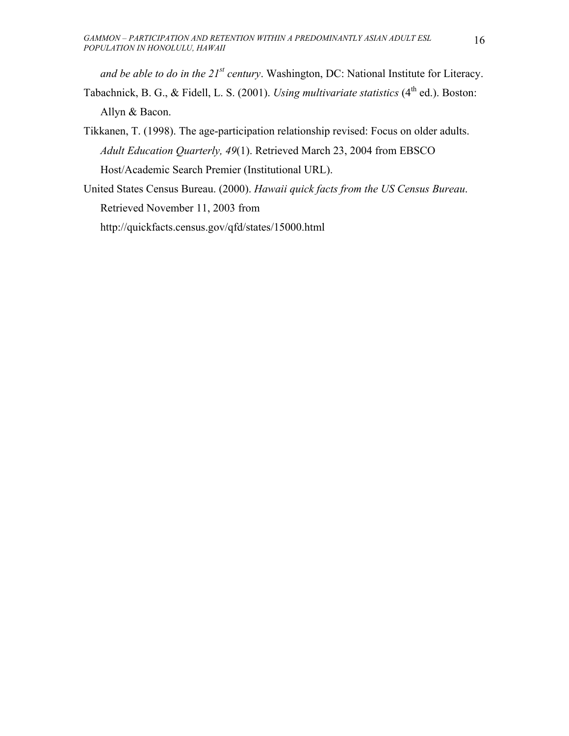*and be able to do in the 21st century*. Washington, DC: National Institute for Literacy. Tabachnick, B. G., & Fidell, L. S. (2001). *Using multivariate statistics* (4<sup>th</sup> ed.). Boston: Allyn & Bacon.

Tikkanen, T. (1998). The age-participation relationship revised: Focus on older adults. *Adult Education Quarterly, 49*(1). Retrieved March 23, 2004 from EBSCO Host/Academic Search Premier (Institutional URL).

United States Census Bureau. (2000). *Hawaii quick facts from the US Census Bureau*. Retrieved November 11, 2003 from

http://quickfacts.census.gov/qfd/states/15000.html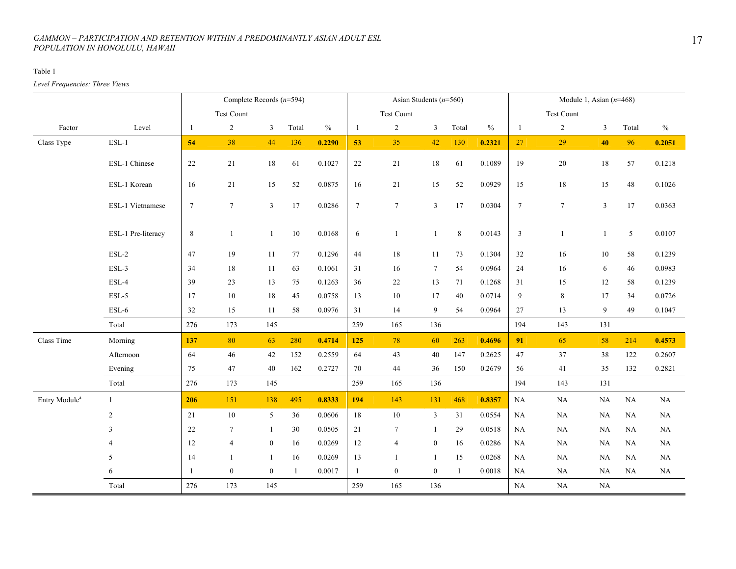#### Table 1

*Level Frequencies: Three Views* 

|                           |                    |                 | Complete Records $(n=594)$ |                  |              |               |                  | Asian Students $(n=560)$ |                  |              |               |                 | Module 1, Asian $(n=468)$ |                |          |               |
|---------------------------|--------------------|-----------------|----------------------------|------------------|--------------|---------------|------------------|--------------------------|------------------|--------------|---------------|-----------------|---------------------------|----------------|----------|---------------|
|                           |                    |                 | Test Count                 |                  |              |               |                  | Test Count               |                  |              |               |                 | Test Count                |                |          |               |
| Factor                    | Level              | -1              | $\overline{c}$             | $\mathfrak{Z}$   | Total        | $\frac{0}{0}$ | $\mathbf{1}$     | $\overline{2}$           | $\mathfrak{Z}$   | Total        | $\frac{0}{0}$ | $\mathbf{1}$    | $\overline{c}$            | 3              | Total    | $\frac{0}{0}$ |
| Class Type                | $ESL-1$            | 54              | 38                         | 44               | 136          | 0.2290        | 53               | 35                       | 42               | 130          | 0.2321        | 27              | 29                        | 40             | 96       | 0.2051        |
|                           | ESL-1 Chinese      | 22              | 21                         | $18\,$           | 61           | 0.1027        | 22               | 21                       | $18\,$           | 61           | 0.1089        | 19              | $20\,$                    | $18\,$         | 57       | 0.1218        |
|                           | ESL-1 Korean       | 16              | 21                         | 15               | 52           | 0.0875        | 16               | $21\,$                   | 15               | 52           | 0.0929        | 15              | $18\,$                    | 15             | $48\,$   | 0.1026        |
|                           | ESL-1 Vietnamese   | $7\overline{ }$ | $7\overline{ }$            | $\overline{3}$   | 17           | 0.0286        | $\boldsymbol{7}$ | $7\phantom{.0}$          | $\overline{3}$   | 17           | 0.0304        | $7\overline{ }$ | $7\phantom{.0}$           | $\mathfrak{Z}$ | 17       | 0.0363        |
|                           | ESL-1 Pre-literacy | $\,8\,$         | $\mathbf{1}$               | -1               | $10\,$       | 0.0168        | 6                | $\mathbf{1}$             | 1                | 8            | 0.0143        | $\mathfrak{Z}$  | $\mathbf{1}$              | $\mathbf{1}$   | 5        | 0.0107        |
|                           | $ESL-2$            | 47              | 19                         | 11               | $77\,$       | 0.1296        | 44               | 18                       | 11               | 73           | 0.1304        | $32\,$          | 16                        | $10\,$         | 58       | 0.1239        |
|                           | ESL-3              | 34              | 18                         | 11               | 63           | 0.1061        | 31               | 16                       | $7\phantom{.0}$  | 54           | 0.0964        | 24              | 16                        | 6              | 46       | 0.0983        |
|                           | ESL-4              | 39              | 23                         | 13               | 75           | 0.1263        | 36               | 22                       | 13               | 71           | 0.1268        | 31              | 15                        | 12             | 58       | 0.1239        |
|                           | $ESL-5$            | 17              | 10                         | 18               | 45           | 0.0758        | 13               | 10                       | 17               | 40           | 0.0714        | 9               | 8                         | 17             | 34       | 0.0726        |
|                           | $ESL-6$            | 32              | 15                         | 11               | 58           | 0.0976        | 31               | 14                       | 9                | 54           | 0.0964        | 27              | 13                        | 9              | 49       | 0.1047        |
|                           | Total              | 276             | 173                        | 145              |              |               | 259              | 165                      | 136              |              |               | 194             | 143                       | 131            |          |               |
| Class Time                | Morning            | 137             | 80                         | 63               | 280          | 0.4714        | 125              | 78                       | 60               | 263          | 0.4696        | 91              | 65                        | 58             | 214      | 0.4573        |
|                           | Afternoon          | 64              | 46                         | 42               | 152          | 0.2559        | 64               | 43                       | 40               | 147          | 0.2625        | 47              | 37                        | 38             | 122      | 0.2607        |
|                           | Evening            | 75              | 47                         | 40               | 162          | 0.2727        | 70               | 44                       | 36               | 150          | 0.2679        | 56              | 41                        | 35             | 132      | 0.2821        |
|                           | Total              | 276             | 173                        | 145              |              |               | 259              | 165                      | 136              |              |               | 194             | 143                       | 131            |          |               |
| Entry Module <sup>a</sup> | $\mathbf{1}$       | 206             | 151                        | 138              | 495          | 0.8333        | 194              | 143                      | 131              | 468          | 0.8357        | NA              | NA                        | $\rm NA$       | $\rm NA$ | NA            |
|                           | $\overline{2}$     | 21              | 10                         | 5                | 36           | 0.0606        | 18               | $10\,$                   | $\mathbf{3}$     | 31           | 0.0554        | <b>NA</b>       | NA                        | NA             | NA       | NA            |
|                           | 3                  | 22              | $\tau$                     | 1                | 30           | 0.0505        | 21               | $7\phantom{.0}$          | $\mathbf{1}$     | 29           | 0.0518        | <b>NA</b>       | NA                        | NA             | NA       | NA            |
|                           | 4                  | 12              | $\overline{4}$             | $\boldsymbol{0}$ | 16           | 0.0269        | 12               | $\overline{4}$           | $\mathbf{0}$     | 16           | 0.0286        | NA              | NA                        | NA             | NA       | NA            |
|                           | 5                  | 14              | $\mathbf{1}$               | -1               | 16           | 0.0269        | 13               | $\mathbf{1}$             | $\mathbf{1}$     | 15           | 0.0268        | $\rm NA$        | $_{\rm NA}$               | NA             | NA       | NA            |
|                           | 6                  | -1              | $\overline{0}$             | $\mathbf{0}$     | $\mathbf{1}$ | 0.0017        | $\mathbf{1}$     | $\boldsymbol{0}$         | $\boldsymbol{0}$ | $\mathbf{1}$ | 0.0018        | NA              | NA                        | NA             | NA       | NA            |
|                           | Total              | 276             | 173                        | 145              |              |               | 259              | 165                      | 136              |              |               | NA              | $\rm NA$                  | NA             |          |               |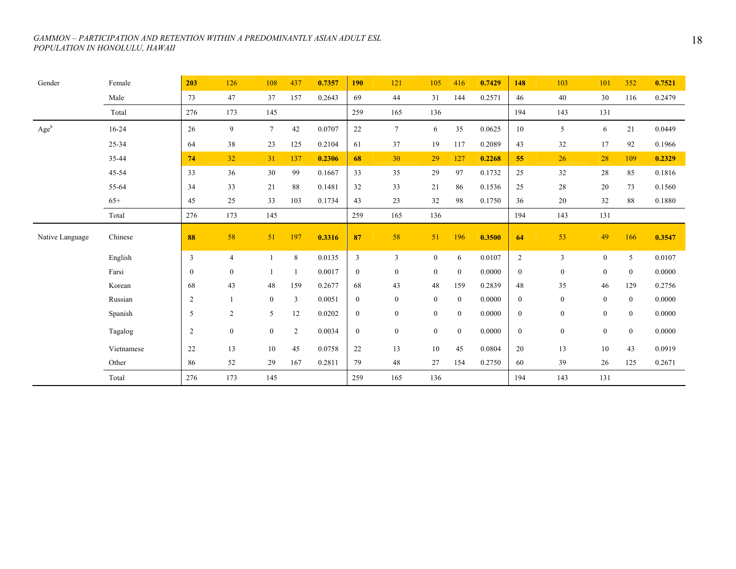| Gender          | Female     | 203              | 126            | 108             | 437          | 0.7357 | <b>190</b>       | 121              | 105              | 416            | 0.7429 | 148              | 103              | 101              | 352              | 0.7521 |
|-----------------|------------|------------------|----------------|-----------------|--------------|--------|------------------|------------------|------------------|----------------|--------|------------------|------------------|------------------|------------------|--------|
|                 | Male       | 73               | 47             | 37              | 157          | 0.2643 | 69               | 44               | 31               | 144            | 0.2571 | 46               | 40               | 30               | 116              | 0.2479 |
|                 | Total      | 276              | 173            | 145             |              |        | 259              | 165              | 136              |                |        | 194              | 143              | 131              |                  |        |
| Ageb            | $16 - 24$  | 26               | 9              | $7\overline{ }$ | $42\,$       | 0.0707 | 22               | $7\overline{ }$  | 6                | 35             | 0.0625 | 10               | 5                | 6                | 21               | 0.0449 |
|                 | 25-34      | 64               | 38             | 23              | 125          | 0.2104 | 61               | 37               | 19               | 117            | 0.2089 | 43               | 32               | 17               | 92               | 0.1966 |
|                 | 35-44      | 74               | 32             | 31              | 137          | 0.2306 | 68               | 30               | 29               | 127            | 0.2268 | 55               | 26               | 28               | 109              | 0.2329 |
|                 | 45-54      | 33               | 36             | 30              | 99           | 0.1667 | 33               | 35               | 29               | 97             | 0.1732 | 25               | 32               | 28               | 85               | 0.1816 |
|                 | 55-64      | 34               | 33             | 21              | 88           | 0.1481 | 32               | 33               | 21               | 86             | 0.1536 | 25               | 28               | $20\,$           | 73               | 0.1560 |
|                 | $65+$      | 45               | 25             | 33              | 103          | 0.1734 | 43               | 23               | 32               | 98             | 0.1750 | 36               | 20               | 32               | 88               | 0.1880 |
|                 | Total      | 276              | 173            | 145             |              |        | 259              | 165              | 136              |                |        | 194              | 143              | 131              |                  |        |
| Native Language | Chinese    | 88               | 58             | 51              | 197          | 0.3316 | 87               | 58               | 51               | 196            | 0.3500 | 64               | 53               | 49               | 166              | 0.3547 |
|                 | English    | $\mathfrak{Z}$   | $\overline{4}$ |                 | $\,8\,$      | 0.0135 | $\mathfrak{Z}$   | $\mathfrak{Z}$   | $\overline{0}$   | 6              | 0.0107 | $\overline{2}$   | $\overline{3}$   | $\mathbf{0}$     | 5                | 0.0107 |
|                 | Farsi      | $\boldsymbol{0}$ | $\mathbf{0}$   |                 | 1            | 0.0017 | $\boldsymbol{0}$ | $\bf{0}$         | $\mathbf{0}$     | $\overline{0}$ | 0.0000 | $\overline{0}$   | $\boldsymbol{0}$ | $\boldsymbol{0}$ | $\boldsymbol{0}$ | 0.0000 |
|                 | Korean     | 68               | 43             | 48              | 159          | 0.2677 | 68               | 43               | 48               | 159            | 0.2839 | 48               | 35               | 46               | 129              | 0.2756 |
|                 | Russian    | $\sqrt{2}$       |                | $\overline{0}$  | $\mathbf{3}$ | 0.0051 | $\bf{0}$         | $\boldsymbol{0}$ | $\boldsymbol{0}$ | $\mathbf{0}$   | 0.0000 | $\overline{0}$   | $\boldsymbol{0}$ | $\boldsymbol{0}$ | $\boldsymbol{0}$ | 0.0000 |
|                 | Spanish    | 5                | 2              | 5               | 12           | 0.0202 | $\bf{0}$         | $\boldsymbol{0}$ | $\mathbf{0}$     | $\overline{0}$ | 0.0000 | $\mathbf{0}$     | $\mathbf{0}$     | $\boldsymbol{0}$ | $\mathbf{0}$     | 0.0000 |
|                 | Tagalog    | $\overline{c}$   | $\mathbf{0}$   | $\mathbf{0}$    | $\sqrt{2}$   | 0.0034 | $\bf{0}$         | $\boldsymbol{0}$ | $\mathbf{0}$     | $\overline{0}$ | 0.0000 | $\boldsymbol{0}$ | $\boldsymbol{0}$ | $\boldsymbol{0}$ | $\boldsymbol{0}$ | 0.0000 |
|                 | Vietnamese | 22               | 13             | 10              | 45           | 0.0758 | 22               | 13               | $10\,$           | 45             | 0.0804 | 20               | 13               | 10               | 43               | 0.0919 |
|                 | Other      | 86               | 52             | 29              | 167          | 0.2811 | 79               | 48               | 27               | 154            | 0.2750 | 60               | 39               | 26               | 125              | 0.2671 |
|                 | Total      | 276              | 173            | 145             |              |        | 259              | 165              | 136              |                |        | 194              | 143              | 131              |                  |        |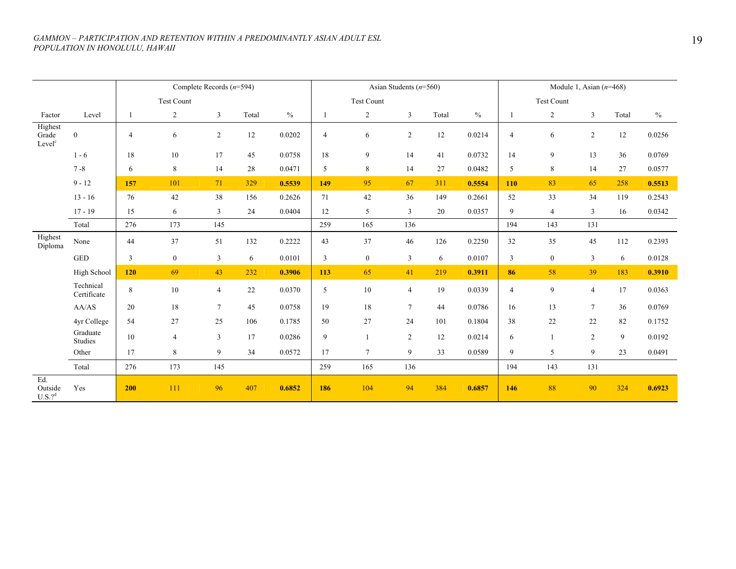|                                        |                          |                |                   | Complete Records $(n=594)$ |       |               |                |                | Asian Students $(n=560)$ |       |               |                |                   | Module 1, Asian $(n=468)$ |        |        |
|----------------------------------------|--------------------------|----------------|-------------------|----------------------------|-------|---------------|----------------|----------------|--------------------------|-------|---------------|----------------|-------------------|---------------------------|--------|--------|
|                                        |                          |                | <b>Test Count</b> |                            |       |               |                | Test Count     |                          |       |               |                | <b>Test Count</b> |                           |        |        |
| Factor                                 | Level                    | 1              | $\overline{c}$    | 3                          | Total | $\frac{0}{0}$ |                | 2              | 3                        | Total | $\frac{0}{0}$ |                | 2                 | 3                         | Total  | $\%$   |
| Highest<br>Grade<br>Level <sup>c</sup> | $\boldsymbol{0}$         | $\overline{4}$ | 6                 | $\overline{2}$             | 12    | 0.0202        | $\overline{4}$ | 6              | 2                        | 12    | 0.0214        | $\overline{4}$ | 6                 | $\overline{2}$            | $12\,$ | 0.0256 |
|                                        | $1 - 6$                  | 18             | $10\,$            | 17                         | 45    | 0.0758        | 18             | 9              | 14                       | 41    | 0.0732        | 14             | 9                 | 13                        | 36     | 0.0769 |
|                                        | $7 - 8$                  | 6              | 8                 | 14                         | 28    | 0.0471        | 5              | 8              | 14                       | 27    | 0.0482        | 5              | $\,$ 8 $\,$       | 14                        | $27\,$ | 0.0577 |
|                                        | $9 - 12$                 | 157            | 101               | 71                         | 329   | 0.5539        | 149            | 95             | 67                       | 311   | 0.5554        | 110            | 83                | 65                        | 258    | 0.5513 |
|                                        | $13 - 16$                | 76             | $42\,$            | 38                         | 156   | 0.2626        | 71             | 42             | 36                       | 149   | 0.2661        | 52             | 33                | 34                        | 119    | 0.2543 |
|                                        | $17 - 19$                | 15             | 6                 | $\overline{3}$             | 24    | 0.0404        | 12             | 5              | 3                        | 20    | 0.0357        | 9              | $\overline{4}$    | $\mathfrak{Z}$            | 16     | 0.0342 |
|                                        | Total                    | 276            | 173               | 145                        |       |               | 259            | 165            | 136                      |       |               | 194            | 143               | 131                       |        |        |
| Highest<br>Diploma                     | None                     | 44             | 37                | 51                         | 132   | 0.2222        | 43             | 37             | 46                       | 126   | 0.2250        | 32             | 35                | 45                        | 112    | 0.2393 |
|                                        | <b>GED</b>               | 3              | $\boldsymbol{0}$  | $\overline{3}$             | 6     | 0.0101        | 3              | $\overline{0}$ | 3                        | 6     | 0.0107        | 3              | $\mathbf{0}$      | $\overline{3}$            | 6      | 0.0128 |
|                                        | High School              | 120            | 69                | 43                         | 232   | 0.3906        | 113            | 65             | 41                       | 219   | 0.3911        | 86             | 58                | 39                        | 183    | 0.3910 |
|                                        | Technical<br>Certificate | 8              | 10                | $\overline{4}$             | 22    | 0.0370        | 5              | 10             | $\overline{4}$           | 19    | 0.0339        | $\overline{4}$ | $\overline{9}$    | $\overline{4}$            | 17     | 0.0363 |
|                                        | AA/AS                    | 20             | 18                | $\overline{7}$             | 45    | 0.0758        | 19             | 18             | $7\phantom{.0}$          | 44    | 0.0786        | 16             | 13                | $\tau$                    | 36     | 0.0769 |
|                                        | 4yr College              | 54             | 27                | 25                         | 106   | 0.1785        | $50\,$         | $27\,$         | 24                       | 101   | 0.1804        | 38             | $22\,$            | 22                        | 82     | 0.1752 |
|                                        | Graduate<br>Studies      | 10             | $\overline{4}$    | $\overline{3}$             | 17    | 0.0286        | 9              |                | 2                        | 12    | 0.0214        | 6              | 1                 | $\overline{2}$            | 9      | 0.0192 |
|                                        | Other                    | 17             | 8                 | 9                          | 34    | 0.0572        | 17             | $\tau$         | 9                        | 33    | 0.0589        | 9              | 5                 | 9                         | 23     | 0.0491 |
|                                        | Total                    | 276            | 173               | 145                        |       |               | 259            | 165            | 136                      |       |               | 194            | 143               | 131                       |        |        |
| Ed.<br>Outside<br>$U.S.?$ <sup>d</sup> | Yes                      | 200            | 111               | 96                         | 407   | 0.6852        | 186            | 104            | 94                       | 384   | 0.6857        | 146            | 88                | 90                        | 324    | 0.6923 |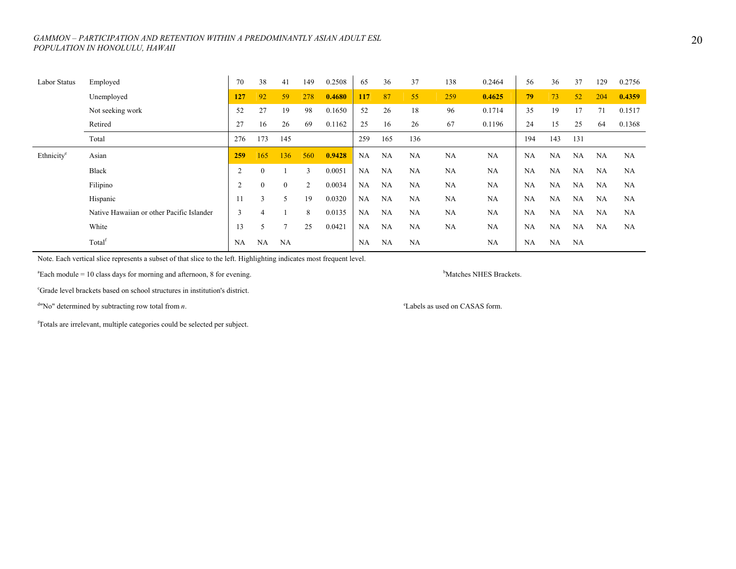| Labor Status           | Employed                                  | 70             | 38        | 41             | 149 | 0.2508 | 65        | 36        | 37        | 138       | 0.2464    | 56        | 36        | 37        | 129       | 0.2756    |
|------------------------|-------------------------------------------|----------------|-----------|----------------|-----|--------|-----------|-----------|-----------|-----------|-----------|-----------|-----------|-----------|-----------|-----------|
|                        | Unemployed                                | 127            | 92        | 59             | 278 | 0.4680 | 117       | 87        | 55        | 259       | 0.4625    | 79        | 73        | 52        | 204       | 0.4359    |
|                        | Not seeking work                          | 52             | 27        | 19             | 98  | 0.1650 | 52        | 26        | 18        | 96        | 0.1714    | 35        | 19        | 17        | 71        | 0.1517    |
|                        | Retired                                   | 27             | 16        | 26             | 69  | 0.1162 | 25        | 16        | 26        | 67        | 0.1196    | 24        | 15        | 25        | 64        | 0.1368    |
|                        | Total                                     | 276            | 173       | 145            |     |        | 259       | 165       | 136       |           |           | 194       | 143       | 131       |           |           |
| Ethnicity <sup>e</sup> | Asian                                     | 259            | 165       | 136            | 560 | 0.9428 | NA        | NA        | NA        | NA        | NA        | NA        | NA        | NA        | NA        | <b>NA</b> |
|                        | <b>Black</b>                              | $\overline{2}$ | $\theta$  |                | 3   | 0.0051 | NA        | <b>NA</b> | <b>NA</b> | <b>NA</b> | <b>NA</b> | <b>NA</b> | NA        | NA        | <b>NA</b> | NA        |
|                        | Filipino                                  | $\overline{c}$ | 0         | $\overline{0}$ | 2   | 0.0034 | NA        | NA        | <b>NA</b> | <b>NA</b> | <b>NA</b> | <b>NA</b> | NA        | <b>NA</b> | NA        | NA        |
|                        | Hispanic                                  | 11             | 3         | 5              | 19  | 0.0320 | NA        | <b>NA</b> | <b>NA</b> | <b>NA</b> | <b>NA</b> | <b>NA</b> | <b>NA</b> | NA        | NA        | NA        |
|                        | Native Hawaiian or other Pacific Islander | 3              |           |                | 8   | 0.0135 | <b>NA</b> | NA        | <b>NA</b> | <b>NA</b> | <b>NA</b> | <b>NA</b> | NA        | <b>NA</b> | NA        | NA        |
|                        | White                                     | 13             | 5         |                | 25  | 0.0421 | NA        | NA        | <b>NA</b> | <b>NA</b> | <b>NA</b> | <b>NA</b> | <b>NA</b> | <b>NA</b> | NA        | <b>NA</b> |
|                        | Total <sup>f</sup>                        | NA             | <b>NA</b> | NA             |     |        | <b>NA</b> | NA        | <b>NA</b> |           | <b>NA</b> | <b>NA</b> | NA        | NA        |           |           |

Note. Each vertical slice represents a subset of that slice to the left. Highlighting indicates most frequent level.

<sup>a</sup>Each module = 10 class days for morning and afternoon, 8 for evening. bMatches NHES Brackets.

cGrade level brackets based on school structures in institution's district.

 $d$ "No" determined by subtracting row total from *n*.  $d$ <sup>2</sup>Labels as used on CASAS form.

fTotals are irrelevant, multiple categories could be selected per subject.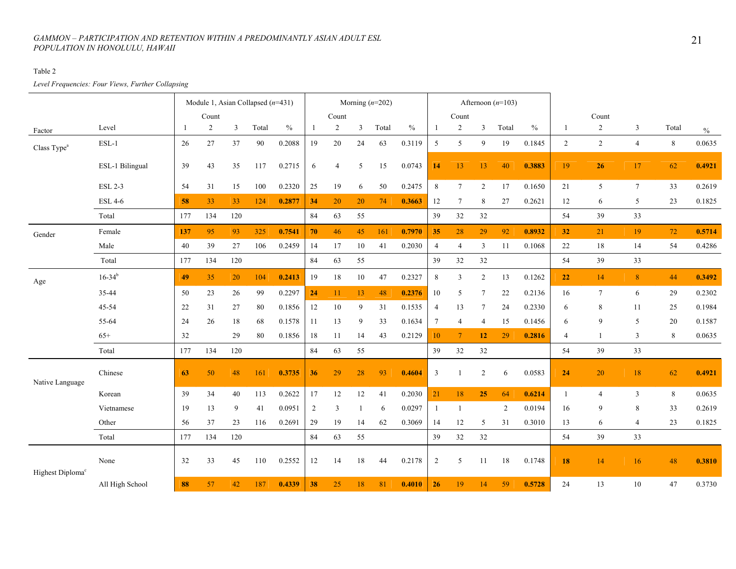#### Table 2

*Level Frequencies: Four Views, Further Collapsing* 

|                              |                        |     | Module 1, Asian Collapsed $(n=431)$ |         |        |               |                |                |              | Morning $(n=202)$ |        |                 |                 |                 | Afternoon $(n=103)$ |        |                |                 |                 |         |               |
|------------------------------|------------------------|-----|-------------------------------------|---------|--------|---------------|----------------|----------------|--------------|-------------------|--------|-----------------|-----------------|-----------------|---------------------|--------|----------------|-----------------|-----------------|---------|---------------|
|                              |                        |     | Count                               |         |        |               |                | Count          |              |                   |        |                 | Count           |                 |                     |        |                | Count           |                 |         |               |
| Factor                       | Level                  | -1  | $\overline{2}$                      | 3       | Total  | $\frac{0}{0}$ | 1              | $\overline{2}$ | $\mathbf{3}$ | Total             | $\%$   | $\mathbf{1}$    | $\overline{2}$  | 3               | Total               | $\%$   | 1              | $\overline{2}$  | $\overline{3}$  | Total   | $\frac{0}{0}$ |
| Class Type <sup>a</sup>      | $ESL-1$                | 26  | $27\,$                              | 37      | $90\,$ | 0.2088        | 19             | $20\,$         | 24           | 63                | 0.3119 | 5               | $\sqrt{5}$      | 9               | 19                  | 0.1845 | $\overline{2}$ | $\overline{c}$  | $\overline{4}$  | $\,8\,$ | 0.0635        |
|                              | ESL-1 Bilingual        | 39  | 43                                  | 35      | 117    | 0.2715        | 6              | $\overline{4}$ | 5            | 15                | 0.0743 | 14              | 13              | 13              | 40                  | 0.3883 | 19             | 26              | 17              | 62      | 0.4921        |
|                              | <b>ESL 2-3</b>         | 54  | 31                                  | 15      | 100    | 0.2320        | 25             | 19             | 6            | 50                | 0.2475 | 8               | $\tau$          | $\overline{2}$  | 17                  | 0.1650 | 21             | 5               | $7\phantom{.0}$ | 33      | 0.2619        |
|                              | <b>ESL 4-6</b>         | 58  | 33                                  | 33      | 124    | 0.2877        | 34             | 20             | 20           | 74                | 0.3663 | 12              | $\tau$          | 8               | 27                  | 0.2621 | 12             | 6               | 5               | 23      | 0.1825        |
|                              | Total                  | 177 | 134                                 | 120     |        |               | 84             | 63             | 55           |                   |        | 39              | 32              | 32              |                     |        | 54             | 39              | 33              |         |               |
| Gender                       | Female                 | 137 | 95                                  | 93      | 325    | 0.7541        | 70             | 46             | 45           | 161               | 0.7970 | 35              | 28              | 29              | 92                  | 0.8932 | 32             | 21              | 19              | 72      | 0.5714        |
|                              | Male                   | 40  | 39                                  | 27      | 106    | 0.2459        | 14             | 17             | $10\,$       | 41                | 0.2030 | $\overline{4}$  | $\overline{4}$  | 3               | 11                  | 0.1068 | 22             | 18              | 14              | 54      | 0.4286        |
|                              | Total                  | 177 | 134                                 | $120\,$ |        |               | 84             | 63             | 55           |                   |        | 39              | 32              | $32\,$          |                     |        | 54             | 39              | 33              |         |               |
| Age                          | $16 - 34$ <sup>b</sup> | 49  | 35                                  | 20      | 104    | 0.2413        | 19             | 18             | $10\,$       | 47                | 0.2327 | $8\,$           | 3               | $\sqrt{2}$      | 13                  | 0.1262 | 22             | 14              | 8 <sup>°</sup>  | 44      | 0.3492        |
|                              | 35-44                  | 50  | 23                                  | 26      | 99     | 0.2297        | 24             | 11             | 13           | 48                | 0.2376 | 10              | 5               | $7\phantom{.0}$ | 22                  | 0.2136 | 16             | $7\phantom{.0}$ | 6               | 29      | 0.2302        |
|                              | 45-54                  | 22  | 31                                  | 27      | 80     | 0.1856        | 12             | 10             | 9            | 31                | 0.1535 | 4               | 13              | $7\phantom{.0}$ | 24                  | 0.2330 | 6              | 8               | 11              | 25      | 0.1984        |
|                              | 55-64                  | 24  | 26                                  | 18      | 68     | 0.1578        | 11             | 13             | 9            | 33                | 0.1634 | $7\phantom{.0}$ | 4               | $\overline{4}$  | 15                  | 0.1456 | 6              | 9               | 5               | 20      | 0.1587        |
|                              | $65+$                  | 32  |                                     | 29      | 80     | 0.1856        | 18             | 11             | 14           | 43                | 0.2129 | $10\,$          | $7\phantom{.0}$ | 12              | 29                  | 0.2816 | $\overline{4}$ | 1               | 3               | 8       | 0.0635        |
|                              | Total                  | 177 | 134                                 | 120     |        |               | 84             | 63             | 55           |                   |        | 39              | 32              | 32              |                     |        | 54             | 39              | 33              |         |               |
| Native Language              | Chinese                | 63  | 50                                  | 48      | 161    | 0.3735        | 36             | 29             | 28           | 93                | 0.4604 | 3               |                 | $\overline{2}$  | 6                   | 0.0583 | 24             | 20              | $18\,$          | 62      | 0.4921        |
|                              | Korean                 | 39  | 34                                  | 40      | 113    | 0.2622        | 17             | 12             | 12           | 41                | 0.2030 | 21              | 18              | 25              | 64                  | 0.6214 | $\mathbf{1}$   | $\overline{4}$  | $\overline{3}$  | 8       | 0.0635        |
|                              | Vietnamese             | 19  | 13                                  | 9       | 41     | 0.0951        | $\overline{2}$ | 3              |              | 6                 | 0.0297 | $\mathbf{1}$    | $\overline{1}$  |                 | 2                   | 0.0194 | 16             | 9               | 8               | 33      | 0.2619        |
|                              | Other                  | 56  | 37                                  | 23      | 116    | 0.2691        | 29             | 19             | 14           | 62                | 0.3069 | 14              | 12              | 5               | 31                  | 0.3010 | 13             | 6               | $\overline{4}$  | 23      | 0.1825        |
|                              | Total                  | 177 | 134                                 | 120     |        |               | 84             | 63             | 55           |                   |        | 39              | 32              | 32              |                     |        | 54             | 39              | 33              |         |               |
| Highest Diploma <sup>c</sup> | None                   | 32  | 33                                  | 45      | 110    | 0.2552        | 12             | 14             | 18           | 44                | 0.2178 | $\overline{2}$  | 5               | 11              | 18                  | 0.1748 | 18             | 14              | 16              | 48      | 0.3810        |
|                              | All High School        | 88  | 57                                  | 42      | 187    | 0.4339        | 38             | 25             | 18           | 81                | 0.4010 | 26              | 19              | 14              | 59                  | 0.5728 | 24             | 13              | 10              | 47      | 0.3730        |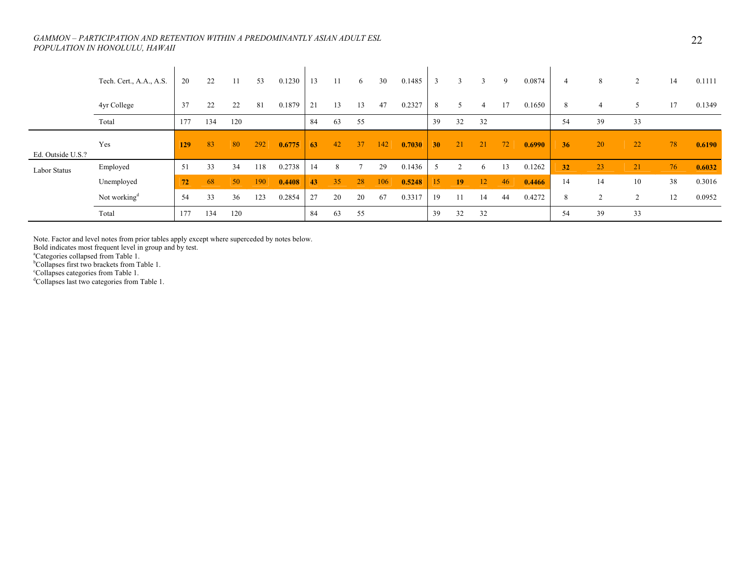|                   | Tech. Cert., A.A., A.S.  | 20         | 22  | 11  | 53  | 0.1230 | 13 |    | 6  | 30  | 0.1485 | 3               | $\mathcal{R}$   | 3  | 9  | 0.0874 | $\overline{4}$ | 8      | $\overline{2}$ | 14 | 0.1111 |
|-------------------|--------------------------|------------|-----|-----|-----|--------|----|----|----|-----|--------|-----------------|-----------------|----|----|--------|----------------|--------|----------------|----|--------|
|                   | 4yr College              | 37         | 22  | 22  | 81  | 0.1879 | 21 | 13 | 13 | 47  | 0.2327 | 8               | 5               | 4  | 17 | 0.1650 | 8              | 4      |                | 17 | 0.1349 |
|                   | Total                    | 177        | 134 | 120 |     |        | 84 | 63 | 55 |     |        | 39              | 32              | 32 |    |        | 54             | 39     | 33             |    |        |
| Ed. Outside U.S.? | Yes                      | <b>129</b> | 83  | 80  | 292 | 0.6775 | 63 | 42 | 37 | 142 | 0.7030 | 30 <sup>°</sup> | 21              | 21 | 72 | 0.6990 | 36             | 20     | $22^{\circ}$   | 78 | 0.6190 |
| Labor Status      | Employed                 | 51         | 33  | 34  | 118 | 0.2738 | 14 | 8  |    | 29  | 0.1436 | .5              | $\overline{c}$  | 6  | 13 | 0.1262 | 32             | 23     | 21             | 76 | 0.6032 |
|                   | Unemployed               | 72         | 68  | 50  | 190 | 0.4408 | 43 | 35 | 28 | 106 | 0.5248 | 15              | 19 <sup>°</sup> | 12 | 46 | 0.4466 | 14             | 14     | 10             | 38 | 0.3016 |
|                   | Not working <sup>d</sup> | 54         | 33  | 36  | 123 | 0.2854 | 27 | 20 | 20 | 67  | 0.3317 | 19              |                 | 14 | 44 | 0.4272 | 8              | $\sim$ | $\sim$         | 12 | 0.0952 |
|                   | Total                    | 177        | 134 | 120 |     |        | 84 | 63 | 55 |     |        | 39              | 32              | 32 |    |        | 54             | 39     | 33             |    |        |

Note. Factor and level notes from prior tables apply except where superceded by notes below.

Bold indicates most frequent level in group and by test.<br><sup>a</sup>Categories collapsed from Table 1.

<sup>b</sup>Collapses first two brackets from Table 1.

<sup>c</sup>Collapses categories from Table 1.

<sup>d</sup>Collapses last two categories from Table 1.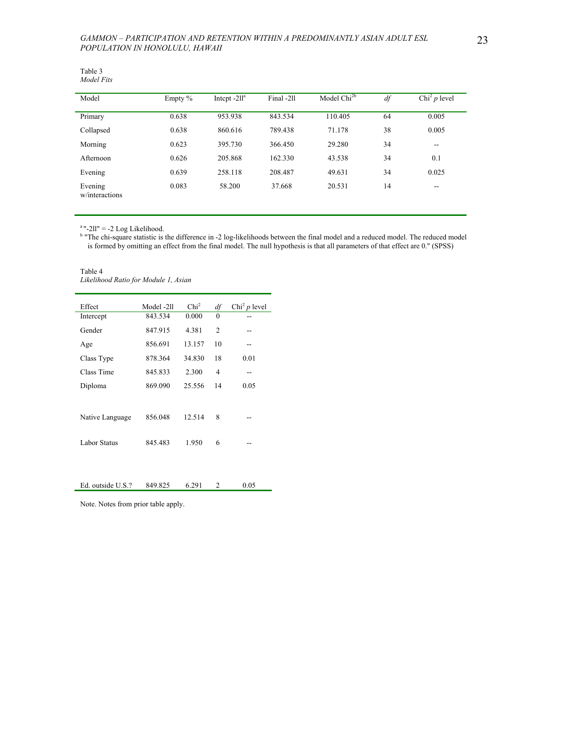| Table 3    |
|------------|
| Model Fits |

| Model                     | Empty % | Intept $-211^a$ | Final -211 | Model Chi <sup>2b</sup> | df | Chi <sup>2</sup> $p$ level |
|---------------------------|---------|-----------------|------------|-------------------------|----|----------------------------|
| Primary                   | 0.638   | 953.938         | 843.534    | 110.405                 | 64 | 0.005                      |
| Collapsed                 | 0.638   | 860.616         | 789.438    | 71.178                  | 38 | 0.005                      |
| Morning                   | 0.623   | 395.730         | 366.450    | 29.280                  | 34 | $\sim$ $\sim$              |
| Afternoon                 | 0.626   | 205.868         | 162.330    | 43.538                  | 34 | 0.1                        |
| Evening                   | 0.639   | 258.118         | 208,487    | 49.631                  | 34 | 0.025                      |
| Evening<br>w/interactions | 0.083   | 58.200          | 37.668     | 20.531                  | 14 | $- -$                      |

 $a$ "-2ll" = -2 Log Likelihood.

<sup>b</sup> "The chi-square statistic is the difference in -2 log-likelihoods between the final model and a reduced model. The reduced model is formed by omitting an effect from the final model. The null hypothesis is that all parameters of that effect are 0." (SPSS)

Table 4 *Likelihood Ratio for Module 1, Asian* 

| Effect          | Model -211 | Chi <sup>2</sup> | df             | Chi <sup>2</sup> $p$ level |
|-----------------|------------|------------------|----------------|----------------------------|
| Intercept       | 843.534    | 0.000            | $\theta$       |                            |
| Gender          | 847.915    | 4.381            | $\overline{c}$ |                            |
| Age             | 856.691    | 13.157           | 10             | --                         |
| Class Type      | 878.364    | 34.830           | 18             | 0.01                       |
| Class Time      | 845.833    | 2.300            | 4              | --                         |
| Diploma         | 869.090    | 25.556           | 14             | 0.05                       |
|                 |            |                  |                |                            |
| Native Language | 856.048    | 12.514           | 8              |                            |
| Labor Status    | 845.483    | 1.950            | 6              |                            |
|                 |            |                  |                |                            |

| Ed. outside U.S.? | 849.825 | 6.291 | 0.05 |
|-------------------|---------|-------|------|
|                   |         |       |      |

Note. Notes from prior table apply.

L.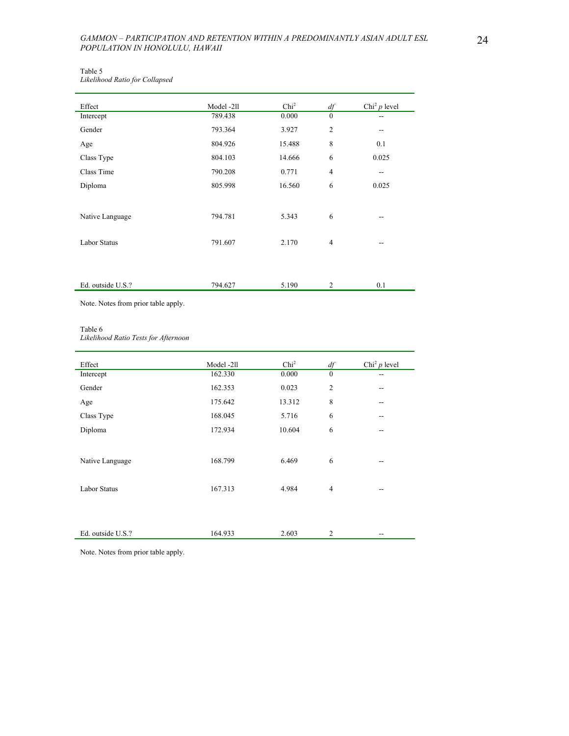| Table 5                        |  |
|--------------------------------|--|
| Likelihood Ratio for Collapsed |  |

| Effect              | Model -211 | Chi <sup>2</sup> | $df$           | Chi <sup>2</sup> $p$ level |
|---------------------|------------|------------------|----------------|----------------------------|
| Intercept           | 789.438    | 0.000            | $\mathbf{0}$   | --                         |
| Gender              | 793.364    | 3.927            | $\overline{c}$ | $-$                        |
| Age                 | 804.926    | 15.488           | 8              | 0.1                        |
| Class Type          | 804.103    | 14.666           | 6              | 0.025                      |
| Class Time          | 790.208    | 0.771            | $\overline{4}$ | $- -$                      |
| Diploma             | 805.998    | 16.560           | 6              | 0.025                      |
| Native Language     | 794.781    | 5.343            | 6              | --                         |
| <b>Labor Status</b> | 791.607    | 2.170            | $\overline{4}$ | --                         |
|                     |            |                  |                |                            |
| Ed. outside U.S.?   | 794.627    | 5.190            | 2              | 0.1                        |

Note. Notes from prior table apply.

#### Table 6

*Likelihood Ratio Tests for Afternoon* 

| Effect              | Model -211 | Chi <sup>2</sup> | df             | Chi <sup>2</sup> $p$ level |
|---------------------|------------|------------------|----------------|----------------------------|
| Intercept           | 162.330    | 0.000            | $\mathbf{0}$   |                            |
| Gender              | 162.353    | 0.023            | $\overline{2}$ | --                         |
| Age                 | 175.642    | 13.312           | 8              | --                         |
| Class Type          | 168.045    | 5.716            | 6              | $-$                        |
| Diploma             | 172.934    | 10.604           | 6              | --                         |
|                     |            |                  |                |                            |
| Native Language     | 168.799    | 6.469            | 6              | --                         |
| <b>Labor Status</b> | 167.313    | 4.984            | 4              | --                         |
|                     |            |                  |                |                            |
| Ed. outside U.S.?   | 164.933    | 2.603            | $\overline{2}$ | --                         |

Note. Notes from prior table apply.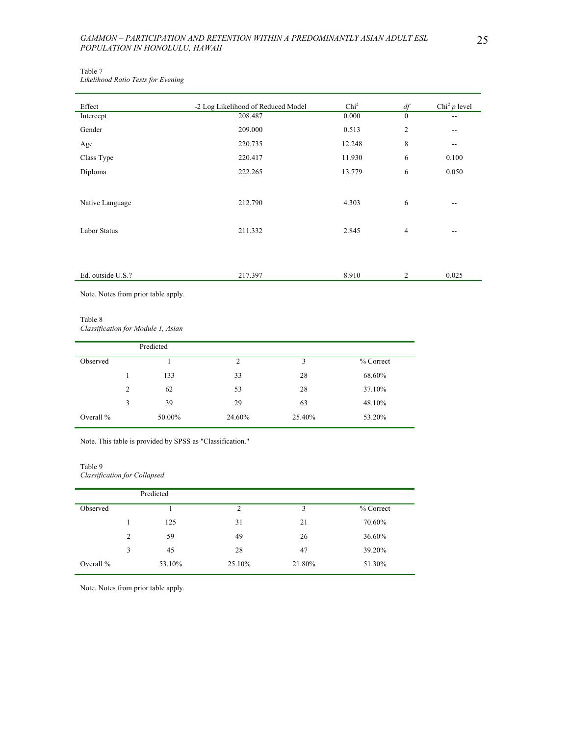Table 7 *Likelihood Ratio Tests for Evening* 

| Effect              | -2 Log Likelihood of Reduced Model | Chi <sup>2</sup> | df               | Chi <sup>2</sup> $p$ level |
|---------------------|------------------------------------|------------------|------------------|----------------------------|
| Intercept           | 208.487                            | 0.000            | $\boldsymbol{0}$ | --                         |
| Gender              | 209.000                            | 0.513            | $\overline{c}$   | --                         |
| Age                 | 220.735                            | 12.248           | 8                | $-$                        |
| Class Type          | 220.417                            | 11.930           | 6                | 0.100                      |
| Diploma             | 222.265                            | 13.779           | 6                | 0.050                      |
|                     |                                    |                  |                  |                            |
| Native Language     | 212.790                            | 4.303            | 6                | $-$                        |
| <b>Labor Status</b> | 211.332                            | 2.845            | $\overline{4}$   | --                         |
|                     |                                    |                  |                  |                            |
| Ed. outside U.S.?   | 217.397                            | 8.910            | 2                | 0.025                      |

Note. Notes from prior table apply.

#### Table 8

*Classification for Module 1, Asian* 

|             |                | Predicted |        |        |           |
|-------------|----------------|-----------|--------|--------|-----------|
| Observed    |                |           | 2      | 3      | % Correct |
|             |                | 133       | 33     | 28     | 68.60%    |
|             | $\overline{c}$ | 62        | 53     | 28     | 37.10%    |
|             | 3              | 39        | 29     | 63     | 48.10%    |
| Overall $%$ |                | 50.00%    | 24.60% | 25.40% | 53.20%    |

Note. This table is provided by SPSS as "Classification."

# Table 9

*Classification for Collapsed* 

|             |                | Predicted |        |        |           |
|-------------|----------------|-----------|--------|--------|-----------|
| Observed    |                |           | 2      | 3      | % Correct |
|             |                | 125       | 31     | 21     | 70.60%    |
|             | $\overline{2}$ | 59        | 49     | 26     | 36.60%    |
|             | 3              | 45        | 28     | 47     | 39.20%    |
| Overall $%$ |                | 53.10%    | 25.10% | 21.80% | 51.30%    |

Note. Notes from prior table apply.